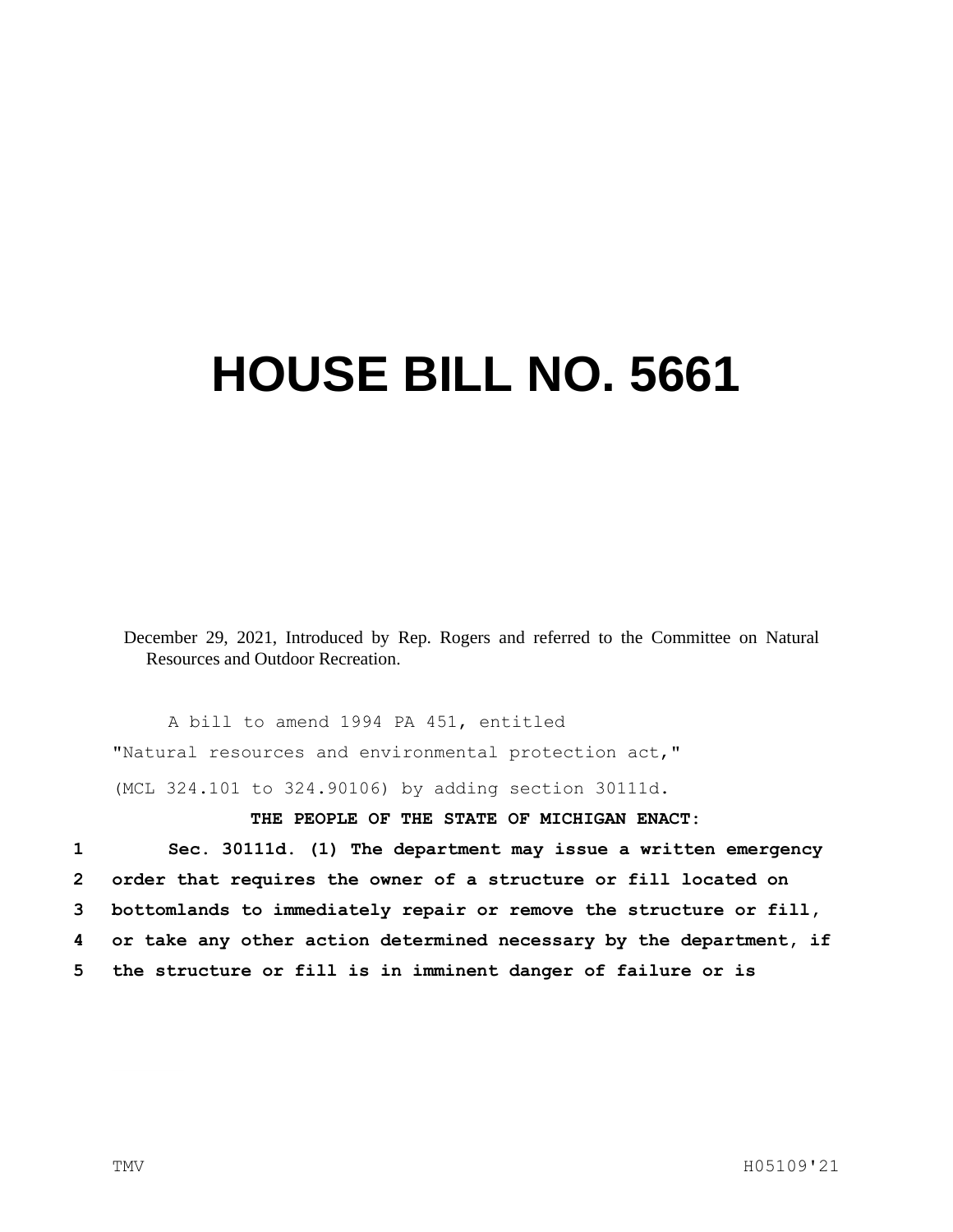## **HOUSE BILL NO. 5661**

December 29, 2021, Introduced by Rep. Rogers and referred to the Committee on Natural Resources and Outdoor Recreation.

A bill to amend 1994 PA 451, entitled "Natural resources and environmental protection act," (MCL 324.101 to 324.90106) by adding section 30111d.

## **THE PEOPLE OF THE STATE OF MICHIGAN ENACT:**

 **Sec. 30111d. (1) The department may issue a written emergency order that requires the owner of a structure or fill located on bottomlands to immediately repair or remove the structure or fill, or take any other action determined necessary by the department, if the structure or fill is in imminent danger of failure or is**